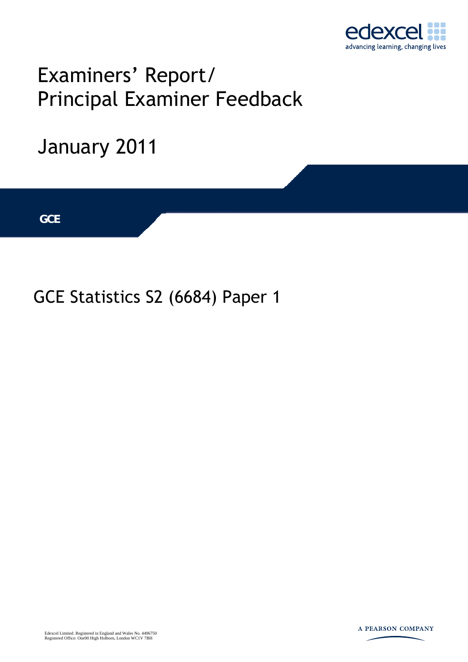

## Examiners' Report/ Principal Examiner Feedback

# January 2011 **IGCSE GCE**

### GCE Statistics S2 (6684) Paper 1

Edexcel Limited. Registered in England and Wales No. 4496750 Registered Office: One90 High Holborn, London WC1V 7BH

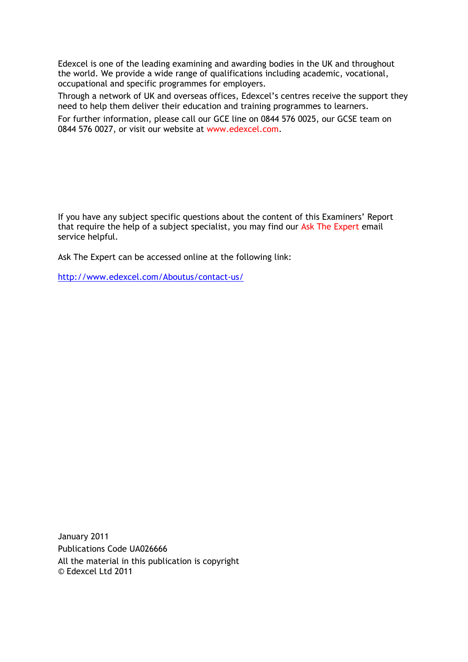Edexcel is one of the leading examining and awarding bodies in the UK and throughout the world. We provide a wide range of qualifications including academic, vocational, occupational and specific programmes for employers.

Through a network of UK and overseas offices, Edexcel's centres receive the support they need to help them deliver their education and training programmes to learners.

For further information, please call our GCE line on 0844 576 0025, our GCSE team on 0844 576 0027, or visit our website at www.edexcel.com.

If you have any subject specific questions about the content of this Examiners' Report that require the help of a subject specialist, you may find our Ask The Expert email service helpful.

Ask The Expert can be accessed online at the following link:

http://www.edexcel.com/Aboutus/contact-us/

January 2011 Publications Code UA026666 All the material in this publication is copyright © Edexcel Ltd 2011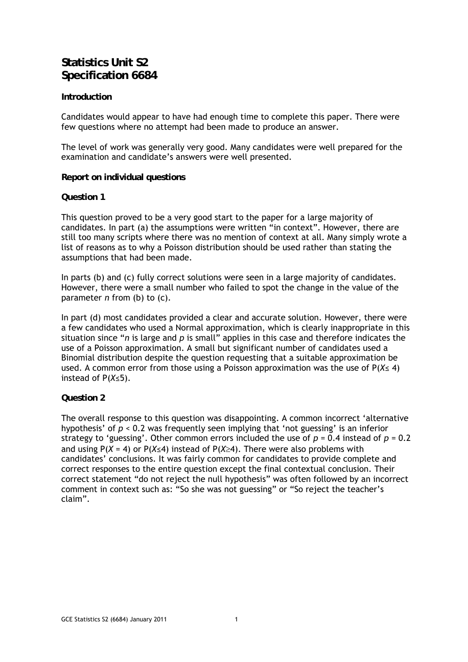#### **Statistics Unit S2 Specification 6684**

#### **Introduction**

Candidates would appear to have had enough time to complete this paper. There were few questions where no attempt had been made to produce an answer.

The level of work was generally very good. Many candidates were well prepared for the examination and candidate's answers were well presented.

**Report on individual questions** 

#### **Question 1**

This question proved to be a very good start to the paper for a large majority of candidates. In part (a) the assumptions were written "in context". However, there are still too many scripts where there was no mention of context at all. Many simply wrote a list of reasons as to why a Poisson distribution should be used rather than stating the assumptions that had been made.

In parts (b) and (c) fully correct solutions were seen in a large majority of candidates. However, there were a small number who failed to spot the change in the value of the parameter *n* from (b) to (c).

In part (d) most candidates provided a clear and accurate solution. However, there were a few candidates who used a Normal approximation, which is clearly inappropriate in this situation since "*n* is large and *p* is small" applies in this case and therefore indicates the use of a Poisson approximation. A small but significant number of candidates used a Binomial distribution despite the question requesting that a suitable approximation be used. A common error from those using a Poisson approximation was the use of P(*X*≤ 4) instead of P(*X*≤5).

#### **Question 2**

The overall response to this question was disappointing. A common incorrect 'alternative hypothesis' of *p* < 0.2 was frequently seen implying that 'not guessing' is an inferior strategy to 'guessing'. Other common errors included the use of  $p = 0.4$  instead of  $p = 0.2$ and using  $P(X = 4)$  or  $P(X \le 4)$  instead of  $P(X \ge 4)$ . There were also problems with candidates' conclusions. It was fairly common for candidates to provide complete and correct responses to the entire question except the final contextual conclusion. Their correct statement "do not reject the null hypothesis" was often followed by an incorrect comment in context such as: "So she was not guessing" or "So reject the teacher's claim".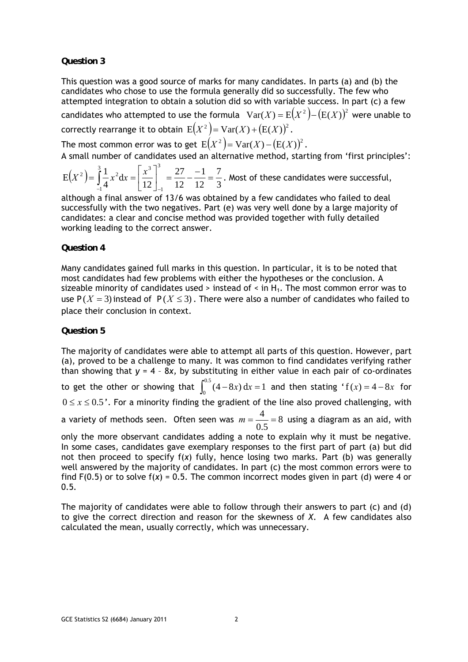#### **Question 3**

This question was a good source of marks for many candidates. In parts (a) and (b) the candidates who chose to use the formula generally did so successfully. The few who attempted integration to obtain a solution did so with variable success. In part (c) a few candidates who attempted to use the formula  $Var(X) = E(X^2) - (E(X))^2$  were unable to correctly rearrange it to obtain  $E(X^2) = Var(X) + (E(X))^2$ .

The most common error was to get  $E(X^2) = Var(X) - (E(X))^2$ .

A small number of candidates used an alternative method, starting from 'first principles':

$$
E(X^{2}) = \int_{-1}^{3} \frac{1}{4} x^{2} dx = \left[ \frac{x^{3}}{12} \right]_{-1}^{3} = \frac{27}{12} - \frac{-1}{12} = \frac{7}{3}
$$
. Most of these candidates were successful,

although a final answer of 13/6 was obtained by a few candidates who failed to deal successfully with the two negatives. Part (e) was very well done by a large majority of candidates: a clear and concise method was provided together with fully detailed working leading to the correct answer.

#### **Question 4**

Many candidates gained full marks in this question. In particular, it is to be noted that most candidates had few problems with either the hypotheses or the conclusion. A sizeable minority of candidates used  $>$  instead of  $\lt$  in H<sub>1</sub>. The most common error was to use  $P(X = 3)$  instead of  $P(X \le 3)$ . There were also a number of candidates who failed to place their conclusion in context.

#### **Question 5**

The majority of candidates were able to attempt all parts of this question. However, part (a), proved to be a challenge to many. It was common to find candidates verifying rather than showing that *y* = 4 – 8*x,* by substituting in either value in each pair of co-ordinates to get the other or showing that  $\int_0^{0.5} (4-8x) dx = 1$  and then stating 'f(*x*) = 4 – 8*x* for  $0 \le x \le 0.5$ '. For a minority finding the gradient of the line also proved challenging, with a variety of methods seen. Often seen was  $m = \frac{1}{2} = 8$ 0.5  $m=\frac{4}{3.7}=8$  using a diagram as an aid, with only the more observant candidates adding a note to explain why it must be negative. In some cases, candidates gave exemplary responses to the first part of part (a) but did not then proceed to specify f(*x*) fully, hence losing two marks. Part (b) was generally well answered by the majority of candidates. In part (c) the most common errors were to find  $F(0.5)$  or to solve  $f(x) = 0.5$ . The common incorrect modes given in part (d) were 4 or 0.5.

The majority of candidates were able to follow through their answers to part (c) and (d) to give the correct direction and reason for the skewness of *X*. A few candidates also calculated the mean, usually correctly, which was unnecessary.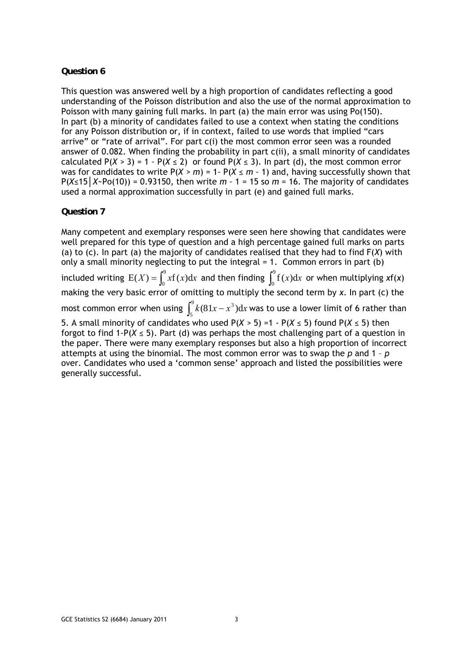#### **Question 6**

This question was answered well by a high proportion of candidates reflecting a good understanding of the Poisson distribution and also the use of the normal approximation to Poisson with many gaining full marks. In part (a) the main error was using Po(150). In part (b) a minority of candidates failed to use a context when stating the conditions for any Poisson distribution or, if in context, failed to use words that implied "cars arrive" or "rate of arrival". For part c(i) the most common error seen was a rounded answer of 0.082. When finding the probability in part c(ii), a small minority of candidates calculated  $P(X > 3) = 1 - P(X \le 2)$  or found  $P(X \le 3)$ . In part (d), the most common error was for candidates to write  $P(X > m) = 1 - P(X \le m - 1)$  and, having successfully shown that P(*X≤*15*│X~*Po(10)) *=* 0.93150*,* then write *m –* 1 *=* 15 so *m =* 16. The majority of candidates used a normal approximation successfully in part (e) and gained full marks.

#### **Question 7**

Many competent and exemplary responses were seen here showing that candidates were well prepared for this type of question and a high percentage gained full marks on parts (a) to (c). In part (a) the majority of candidates realised that they had to find F(*X*) with only a small minority neglecting to put the integral = 1. Common errors in part (b) included writing  $E(X) = \int_0^9 xf(x)dx$  and then finding  $\int_0^9$  $\int_{0}^{0}$  f(*x*)d*x* or when multiplying *x*f(*x*) making the very basic error of omitting to multiply the second term by *x*. In part (c) the most common error when using  $\int_{a}^{9} k(81x - x^3) dx$ 5  $\int_{5}^{3} k(81x - x^3) dx$  was to use a lower limit of 6 rather than 5. A small minority of candidates who used P(*X >* 5) *=*1 *-* P(*X ≤* 5) found P(*X ≤* 5) then forgot to find 1*-*P(*X ≤* 5). Part (d) was perhaps the most challenging part of a question in the paper. There were many exemplary responses but also a high proportion of incorrect attempts at using the binomial. The most common error was to swap the *p* and 1 – *p* over. Candidates who used a 'common sense' approach and listed the possibilities were generally successful.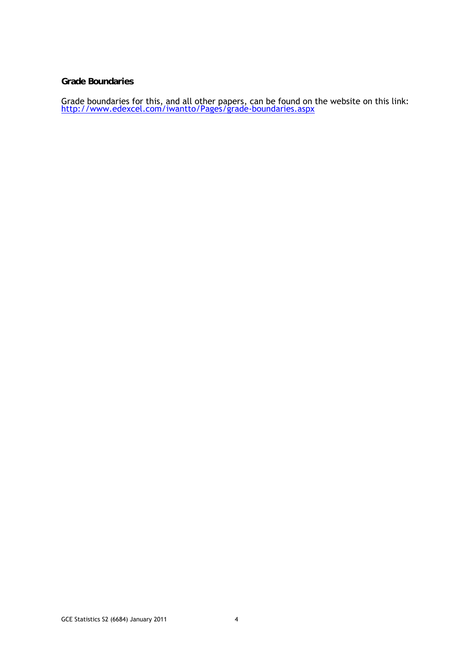#### **Grade Boundaries**

Grade boundaries for this, and all other papers, can be found on the website on this link:<br>http://www.edexcel.com/iwantto/Pages/grade-boundaries.aspx